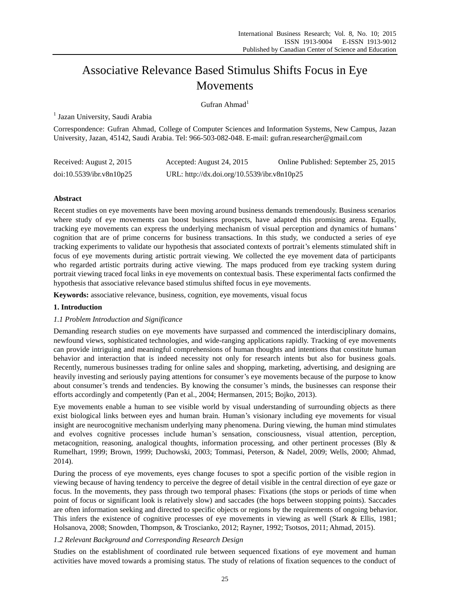# Associative Relevance Based Stimulus Shifts Focus in Eye Movements

## Gufran Ahmad $<sup>1</sup>$ </sup>

<sup>1</sup> Jazan University, Saudi Arabia

Correspondence: Gufran Ahmad, College of Computer Sciences and Information Systems, New Campus, Jazan University, Jazan, 45142, Saudi Arabia. Tel: 966-503-082-048. E-mail: gufran.researcher@gmail.com

| Received: August 2, 2015 | Accepted: August 24, 2015                   | Online Published: September 25, 2015 |
|--------------------------|---------------------------------------------|--------------------------------------|
| doi:10.5539/ibr.v8n10p25 | URL: http://dx.doi.org/10.5539/ibr.v8n10p25 |                                      |

## **Abstract**

Recent studies on eye movements have been moving around business demands tremendously. Business scenarios where study of eye movements can boost business prospects, have adapted this promising arena. Equally, tracking eye movements can express the underlying mechanism of visual perception and dynamics of humans" cognition that are of prime concerns for business transactions. In this study, we conducted a series of eye tracking experiments to validate our hypothesis that associated contexts of portrait's elements stimulated shift in focus of eye movements during artistic portrait viewing. We collected the eye movement data of participants who regarded artistic portraits during active viewing. The maps produced from eye tracking system during portrait viewing traced focal links in eye movements on contextual basis. These experimental facts confirmed the hypothesis that associative relevance based stimulus shifted focus in eye movements.

**Keywords:** associative relevance, business, cognition, eye movements, visual focus

## **1. Introduction**

## *1.1 Problem Introduction and Significance*

Demanding research studies on eye movements have surpassed and commenced the interdisciplinary domains, newfound views, sophisticated technologies, and wide-ranging applications rapidly. Tracking of eye movements can provide intriguing and meaningful comprehensions of human thoughts and intentions that constitute human behavior and interaction that is indeed necessity not only for research intents but also for business goals. Recently, numerous businesses trading for online sales and shopping, marketing, advertising, and designing are heavily investing and seriously paying attentions for consumer's eye movements because of the purpose to know about consumer's trends and tendencies. By knowing the consumer's minds, the businesses can response their efforts accordingly and competently (Pan et al., 2004; Hermansen, 2015; Bojko, 2013).

Eye movements enable a human to see visible world by visual understanding of surrounding objects as there exist biological links between eyes and human brain. Human"s visionary including eye movements for visual insight are neurocognitive mechanism underlying many phenomena. During viewing, the human mind stimulates and evolves cognitive processes include human"s sensation, consciousness, visual attention, perception, metacognition, reasoning, analogical thoughts, information processing, and other pertinent processes (Bly & Rumelhart, 1999; Brown, 1999; Duchowski, 2003; Tommasi, Peterson, & Nadel, 2009; Wells, 2000; Ahmad, 2014).

During the process of eye movements, eyes change focuses to spot a specific portion of the visible region in viewing because of having tendency to perceive the degree of detail visible in the central direction of eye gaze or focus. In the movements, they pass through two temporal phases: Fixations (the stops or periods of time when point of focus or significant look is relatively slow) and saccades (the hops between stopping points). Saccades are often information seeking and directed to specific objects or regions by the requirements of ongoing behavior. This infers the existence of cognitive processes of eye movements in viewing as well (Stark & Ellis, 1981; Holsanova, 2008; Snowden, Thompson, & Troscianko, 2012; Rayner, 1992; Tsotsos, 2011; Ahmad, 2015).

## *1.2 Relevant Background and Corresponding Research Design*

Studies on the establishment of coordinated rule between sequenced fixations of eye movement and human activities have moved towards a promising status. The study of relations of fixation sequences to the conduct of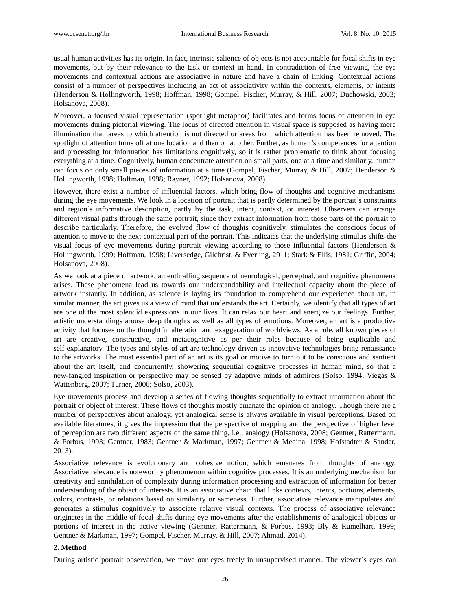usual human activities has its origin. In fact, intrinsic salience of objects is not accountable for focal shifts in eye movements, but by their relevance to the task or context in hand. In contradiction of free viewing, the eye movements and contextual actions are associative in nature and have a chain of linking. Contextual actions consist of a number of perspectives including an act of associativity within the contexts, elements, or intents (Henderson & Hollingworth, 1998; Hoffman, 1998; Gompel, Fischer, Murray, & Hill, 2007; Duchowski, 2003; Holsanova, 2008).

Moreover, a focused visual representation (spotlight metaphor) facilitates and forms focus of attention in eye movements during pictorial viewing. The locus of directed attention in visual space is supposed as having more illumination than areas to which attention is not directed or areas from which attention has been removed. The spotlight of attention turns off at one location and then on at other. Further, as human"s competences for attention and processing for information has limitations cognitively, so it is rather problematic to think about focusing everything at a time. Cognitively, human concentrate attention on small parts, one at a time and similarly, human can focus on only small pieces of information at a time (Gompel, Fischer, Murray, & Hill, 2007; Henderson & Hollingworth, 1998; Hoffman, 1998; Rayner, 1992; Holsanova, 2008).

However, there exist a number of influential factors, which bring flow of thoughts and cognitive mechanisms during the eye movements. We look in a location of portrait that is partly determined by the portrait's constraints and region's informative description, partly by the task, intent, context, or interest. Observers can arrange different visual paths through the same portrait, since they extract information from those parts of the portrait to describe particularly. Therefore, the evolved flow of thoughts cognitively, stimulates the conscious focus of attention to move to the next contextual part of the portrait. This indicates that the underlying stimulus shifts the visual focus of eye movements during portrait viewing according to those influential factors (Henderson & Hollingworth, 1999; Hoffman, 1998; Liversedge, Gilchrist, & Everling, 2011; Stark & Ellis, 1981; Griffin, 2004; Holsanova, 2008).

As we look at a piece of artwork, an enthralling sequence of neurological, perceptual, and cognitive phenomena arises. These phenomena lead us towards our understandability and intellectual capacity about the piece of artwork instantly. In addition, as science is laying its foundation to comprehend our experience about art, in similar manner, the art gives us a view of mind that understands the art. Certainly, we identify that all types of art are one of the most splendid expressions in our lives. It can relax our heart and energize our feelings. Further, artistic understandings arouse deep thoughts as well as all types of emotions. Moreover, an art is a productive activity that focuses on the thoughtful alteration and exaggeration of worldviews. As a rule, all known pieces of art are creative, constructive, and metacognitive as per their roles because of being explicable and self-explanatory. The types and styles of art are technology-driven as innovative technologies bring renaissance to the artworks. The most essential part of an art is its goal or motive to turn out to be conscious and sentient about the art itself, and concurrently, showering sequential cognitive processes in human mind, so that a new-fangled inspiration or perspective may be sensed by adaptive minds of admirers (Solso, 1994; Viegas & Wattenberg, 2007; Turner, 2006; Solso, 2003).

Eye movements process and develop a series of flowing thoughts sequentially to extract information about the portrait or object of interest. These flows of thoughts mostly emanate the opinion of analogy. Though there are a number of perspectives about analogy, yet analogical sense is always available in visual perceptions. Based on available literatures, it gives the impression that the perspective of mapping and the perspective of higher level of perception are two different aspects of the same thing, i.e., analogy (Holsanova, 2008; Gentner, Rattermann, & Forbus, 1993; Gentner, 1983; Gentner & Markman, 1997; Gentner & Medina, 1998; Hofstadter & Sander, 2013).

Associative relevance is evolutionary and cohesive notion, which emanates from thoughts of analogy. Associative relevance is noteworthy phenomenon within cognitive processes. It is an underlying mechanism for creativity and annihilation of complexity during information processing and extraction of information for better understanding of the object of interests. It is an associative chain that links contexts, intents, portions, elements, colors, contrasts, or relations based on similarity or sameness. Further, associative relevance manipulates and generates a stimulus cognitively to associate relative visual contexts. The process of associative relevance originates in the middle of focal shifts during eye movements after the establishments of analogical objects or portions of interest in the active viewing (Gentner, Rattermann, & Forbus, 1993; Bly & Rumelhart, 1999; Gentner & Markman, 1997; Gompel, Fischer, Murray, & Hill, 2007; Ahmad, 2014).

### **2. Method**

During artistic portrait observation, we move our eyes freely in unsupervised manner. The viewer's eyes can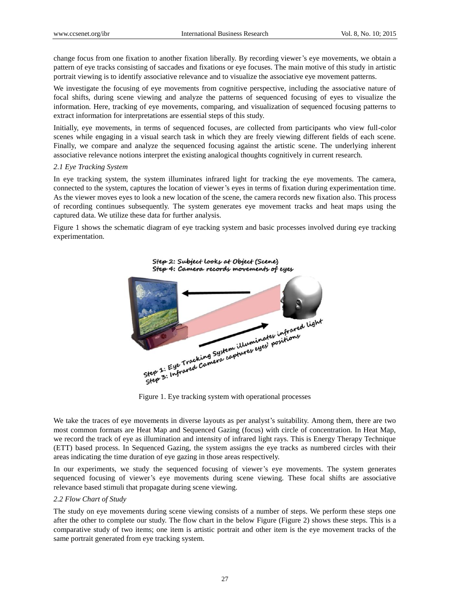change focus from one fixation to another fixation liberally. By recording viewer"s eye movements, we obtain a pattern of eye tracks consisting of saccades and fixations or eye focuses. The main motive of this study in artistic portrait viewing is to identify associative relevance and to visualize the associative eye movement patterns.

We investigate the focusing of eye movements from cognitive perspective, including the associative nature of focal shifts, during scene viewing and analyze the patterns of sequenced focusing of eyes to visualize the information. Here, tracking of eye movements, comparing, and visualization of sequenced focusing patterns to extract information for interpretations are essential steps of this study.

Initially, eye movements, in terms of sequenced focuses, are collected from participants who view full-color scenes while engaging in a visual search task in which they are freely viewing different fields of each scene. Finally, we compare and analyze the sequenced focusing against the artistic scene. The underlying inherent associative relevance notions interpret the existing analogical thoughts cognitively in current research.

### *2.1 Eye Tracking System*

In eye tracking system, the system illuminates infrared light for tracking the eye movements. The camera, connected to the system, captures the location of viewer"s eyes in terms of fixation during experimentation time. As the viewer moves eyes to look a new location of the scene, the camera records new fixation also. This process of recording continues subsequently. The system generates eye movement tracks and heat maps using the captured data. We utilize these data for further analysis.

Figure 1 shows the schematic diagram of eye tracking system and basic processes involved during eye tracking experimentation.



Figure 1. Eye tracking system with operational processes

We take the traces of eye movements in diverse layouts as per analyst's suitability. Among them, there are two most common formats are Heat Map and Sequenced Gazing (focus) with circle of concentration. In Heat Map, we record the track of eye as illumination and intensity of infrared light rays. This is Energy Therapy Technique (ETT) based process. In Sequenced Gazing, the system assigns the eye tracks as numbered circles with their areas indicating the time duration of eye gazing in those areas respectively.

In our experiments, we study the sequenced focusing of viewer's eye movements. The system generates sequenced focusing of viewer's eye movements during scene viewing. These focal shifts are associative relevance based stimuli that propagate during scene viewing.

### *2.2 Flow Chart of Study*

The study on eye movements during scene viewing consists of a number of steps. We perform these steps one after the other to complete our study. The flow chart in the below Figure (Figure 2) shows these steps. This is a comparative study of two items; one item is artistic portrait and other item is the eye movement tracks of the same portrait generated from eye tracking system.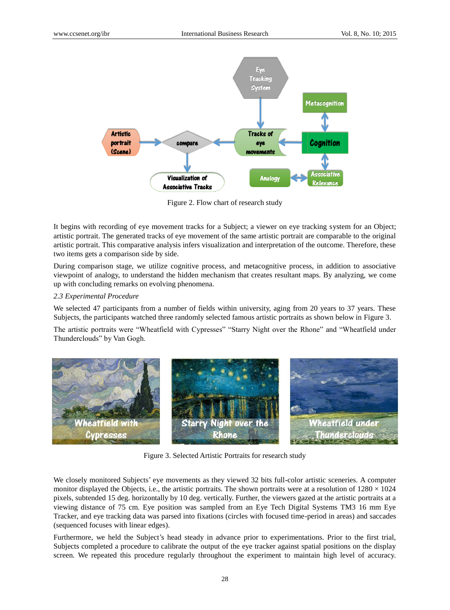

Figure 2. Flow chart of research study

It begins with recording of eye movement tracks for a Subject; a viewer on eye tracking system for an Object; artistic portrait. The generated tracks of eye movement of the same artistic portrait are comparable to the original artistic portrait. This comparative analysis infers visualization and interpretation of the outcome. Therefore, these two items gets a comparison side by side.

During comparison stage, we utilize cognitive process, and metacognitive process, in addition to associative viewpoint of analogy, to understand the hidden mechanism that creates resultant maps. By analyzing, we come up with concluding remarks on evolving phenomena.

#### *2.3 Experimental Procedure*

We selected 47 participants from a number of fields within university, aging from 20 years to 37 years. These Subjects, the participants watched three randomly selected famous artistic portraits as shown below in Figure 3.

The artistic portraits were "Wheatfield with Cypresses" "Starry Night over the Rhone" and "Wheatfield under Thunderclouds" by Van Gogh.



Figure 3. Selected Artistic Portraits for research study

We closely monitored Subjects' eye movements as they viewed 32 bits full-color artistic sceneries. A computer monitor displayed the Objects, i.e., the artistic portraits. The shown portraits were at a resolution of  $1280 \times 1024$ pixels, subtended 15 deg. horizontally by 10 deg. vertically. Further, the viewers gazed at the artistic portraits at a viewing distance of 75 cm. Eye position was sampled from an Eye Tech Digital Systems TM3 16 mm Eye Tracker, and eye tracking data was parsed into fixations (circles with focused time-period in areas) and saccades (sequenced focuses with linear edges).

Furthermore, we held the Subject's head steady in advance prior to experimentations. Prior to the first trial, Subjects completed a procedure to calibrate the output of the eye tracker against spatial positions on the display screen. We repeated this procedure regularly throughout the experiment to maintain high level of accuracy.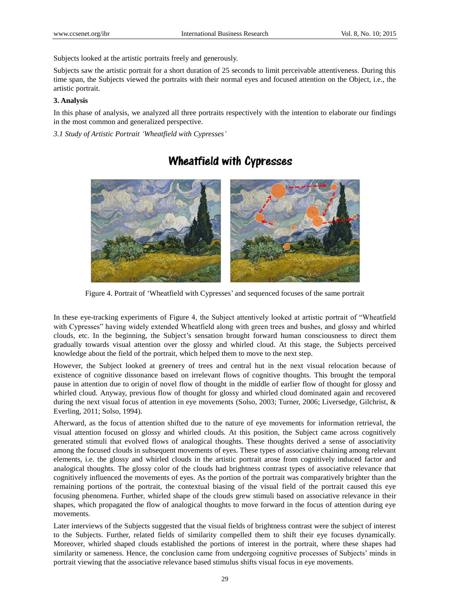Subjects looked at the artistic portraits freely and generously.

Subjects saw the artistic portrait for a short duration of 25 seconds to limit perceivable attentiveness. During this time span, the Subjects viewed the portraits with their normal eyes and focused attention on the Object, i.e., the artistic portrait.

### **3. Analysis**

In this phase of analysis, we analyzed all three portraits respectively with the intention to elaborate our findings in the most common and generalized perspective.

*3.1 Study of Artistic Portrait 'Wheatfield with Cypresses'*



# **Wheatfield with Cypresses**

Figure 4. Portrait of 'Wheatfield with Cypresses' and sequenced focuses of the same portrait

In these eye-tracking experiments of Figure 4, the Subject attentively looked at artistic portrait of "Wheatfield with Cypresses" having widely extended Wheatfield along with green trees and bushes, and glossy and whirled clouds, etc. In the beginning, the Subject"s sensation brought forward human consciousness to direct them gradually towards visual attention over the glossy and whirled cloud. At this stage, the Subjects perceived knowledge about the field of the portrait, which helped them to move to the next step.

However, the Subject looked at greenery of trees and central hut in the next visual relocation because of existence of cognitive dissonance based on irrelevant flows of cognitive thoughts. This brought the temporal pause in attention due to origin of novel flow of thought in the middle of earlier flow of thought for glossy and whirled cloud. Anyway, previous flow of thought for glossy and whirled cloud dominated again and recovered during the next visual focus of attention in eye movements (Solso, 2003; Turner, 2006; Liversedge, Gilchrist, & Everling, 2011; Solso, 1994).

Afterward, as the focus of attention shifted due to the nature of eye movements for information retrieval, the visual attention focused on glossy and whirled clouds. At this position, the Subject came across cognitively generated stimuli that evolved flows of analogical thoughts. These thoughts derived a sense of associativity among the focused clouds in subsequent movements of eyes. These types of associative chaining among relevant elements, i.e. the glossy and whirled clouds in the artistic portrait arose from cognitively induced factor and analogical thoughts. The glossy color of the clouds had brightness contrast types of associative relevance that cognitively influenced the movements of eyes. As the portion of the portrait was comparatively brighter than the remaining portions of the portrait, the contextual biasing of the visual field of the portrait caused this eye focusing phenomena. Further, whirled shape of the clouds grew stimuli based on associative relevance in their shapes, which propagated the flow of analogical thoughts to move forward in the focus of attention during eye movements.

Later interviews of the Subjects suggested that the visual fields of brightness contrast were the subject of interest to the Subjects. Further, related fields of similarity compelled them to shift their eye focuses dynamically. Moreover, whirled shaped clouds established the portions of interest in the portrait, where these shapes had similarity or sameness. Hence, the conclusion came from undergoing cognitive processes of Subjects' minds in portrait viewing that the associative relevance based stimulus shifts visual focus in eye movements.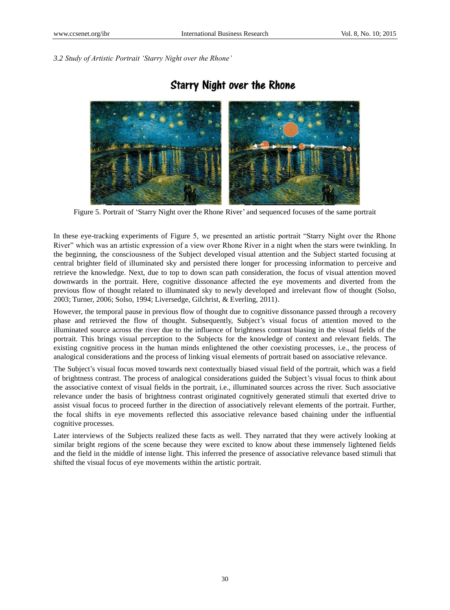## *3.2 Study of Artistic Portrait 'Starry Night over the Rhone'*



# **Starry Night over the Rhone**

Figure 5. Portrait of "Starry Night over the Rhone River" and sequenced focuses of the same portrait

In these eye-tracking experiments of Figure 5, we presented an artistic portrait "Starry Night over the Rhone River" which was an artistic expression of a view over Rhone River in a night when the stars were twinkling. In the beginning, the consciousness of the Subject developed visual attention and the Subject started focusing at central brighter field of illuminated sky and persisted there longer for processing information to perceive and retrieve the knowledge. Next, due to top to down scan path consideration, the focus of visual attention moved downwards in the portrait. Here, cognitive dissonance affected the eye movements and diverted from the previous flow of thought related to illuminated sky to newly developed and irrelevant flow of thought (Solso, 2003; Turner, 2006; Solso, 1994; Liversedge, Gilchrist, & Everling, 2011).

However, the temporal pause in previous flow of thought due to cognitive dissonance passed through a recovery phase and retrieved the flow of thought. Subsequently, Subject's visual focus of attention moved to the illuminated source across the river due to the influence of brightness contrast biasing in the visual fields of the portrait. This brings visual perception to the Subjects for the knowledge of context and relevant fields. The existing cognitive process in the human minds enlightened the other coexisting processes, i.e., the process of analogical considerations and the process of linking visual elements of portrait based on associative relevance.

The Subject's visual focus moved towards next contextually biased visual field of the portrait, which was a field of brightness contrast. The process of analogical considerations guided the Subject's visual focus to think about the associative context of visual fields in the portrait, i.e., illuminated sources across the river. Such associative relevance under the basis of brightness contrast originated cognitively generated stimuli that exerted drive to assist visual focus to proceed further in the direction of associatively relevant elements of the portrait. Further, the focal shifts in eye movements reflected this associative relevance based chaining under the influential cognitive processes.

Later interviews of the Subjects realized these facts as well. They narrated that they were actively looking at similar bright regions of the scene because they were excited to know about these immensely lightened fields and the field in the middle of intense light. This inferred the presence of associative relevance based stimuli that shifted the visual focus of eye movements within the artistic portrait.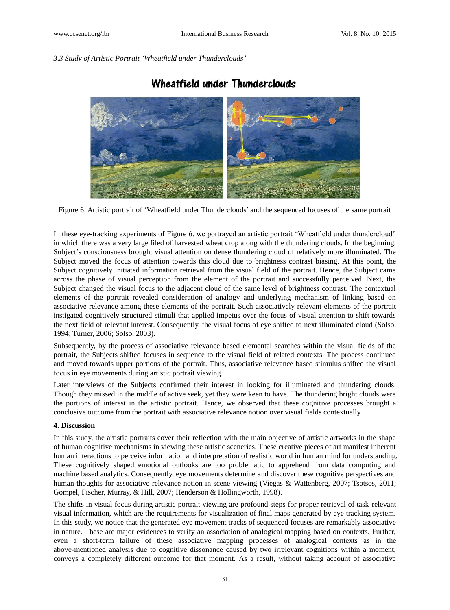## *3.3 Study of Artistic Portrait 'Wheatfield under Thunderclouds'*



## Wheatfield under Thunderclouds

Figure 6. Artistic portrait of "Wheatfield under Thunderclouds" and the sequenced focuses of the same portrait

In these eye-tracking experiments of Figure 6, we portrayed an artistic portrait "Wheatfield under thundercloud" in which there was a very large filed of harvested wheat crop along with the thundering clouds. In the beginning, Subject"s consciousness brought visual attention on dense thundering cloud of relatively more illuminated. The Subject moved the focus of attention towards this cloud due to brightness contrast biasing. At this point, the Subject cognitively initiated information retrieval from the visual field of the portrait. Hence, the Subject came across the phase of visual perception from the element of the portrait and successfully perceived. Next, the Subject changed the visual focus to the adjacent cloud of the same level of brightness contrast. The contextual elements of the portrait revealed consideration of analogy and underlying mechanism of linking based on associative relevance among these elements of the portrait. Such associatively relevant elements of the portrait instigated cognitively structured stimuli that applied impetus over the focus of visual attention to shift towards the next field of relevant interest. Consequently, the visual focus of eye shifted to next illuminated cloud (Solso, 1994; Turner, 2006; Solso, 2003).

Subsequently, by the process of associative relevance based elemental searches within the visual fields of the portrait, the Subjects shifted focuses in sequence to the visual field of related contexts. The process continued and moved towards upper portions of the portrait. Thus, associative relevance based stimulus shifted the visual focus in eye movements during artistic portrait viewing.

Later interviews of the Subjects confirmed their interest in looking for illuminated and thundering clouds. Though they missed in the middle of active seek, yet they were keen to have. The thundering bright clouds were the portions of interest in the artistic portrait. Hence, we observed that these cognitive processes brought a conclusive outcome from the portrait with associative relevance notion over visual fields contextually.

### **4. Discussion**

In this study, the artistic portraits cover their reflection with the main objective of artistic artworks in the shape of human cognitive mechanisms in viewing these artistic sceneries. These creative pieces of art manifest inherent human interactions to perceive information and interpretation of realistic world in human mind for understanding. These cognitively shaped emotional outlooks are too problematic to apprehend from data computing and machine based analytics. Consequently, eye movements determine and discover these cognitive perspectives and human thoughts for associative relevance notion in scene viewing (Viegas & Wattenberg, 2007; Tsotsos, 2011; Gompel, Fischer, Murray, & Hill, 2007; Henderson & Hollingworth, 1998).

The shifts in visual focus during artistic portrait viewing are profound steps for proper retrieval of task-relevant visual information, which are the requirements for visualization of final maps generated by eye tracking system. In this study, we notice that the generated eye movement tracks of sequenced focuses are remarkably associative in nature. These are major evidences to verify an association of analogical mapping based on contexts. Further, even a short-term failure of these associative mapping processes of analogical contexts as in the above-mentioned analysis due to cognitive dissonance caused by two irrelevant cognitions within a moment, conveys a completely different outcome for that moment. As a result, without taking account of associative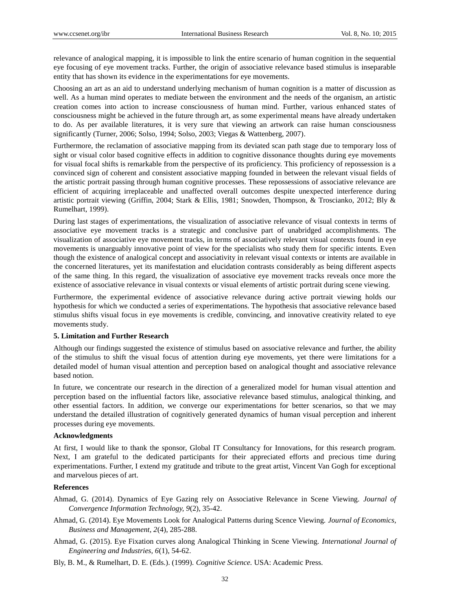relevance of analogical mapping, it is impossible to link the entire scenario of human cognition in the sequential eye focusing of eye movement tracks. Further, the origin of associative relevance based stimulus is inseparable entity that has shown its evidence in the experimentations for eye movements.

Choosing an art as an aid to understand underlying mechanism of human cognition is a matter of discussion as well. As a human mind operates to mediate between the environment and the needs of the organism, an artistic creation comes into action to increase consciousness of human mind. Further, various enhanced states of consciousness might be achieved in the future through art, as some experimental means have already undertaken to do. As per available literatures, it is very sure that viewing an artwork can raise human consciousness significantly (Turner, 2006; Solso, 1994; Solso, 2003; Viegas & Wattenberg, 2007).

Furthermore, the reclamation of associative mapping from its deviated scan path stage due to temporary loss of sight or visual color based cognitive effects in addition to cognitive dissonance thoughts during eye movements for visual focal shifts is remarkable from the perspective of its proficiency. This proficiency of repossession is a convinced sign of coherent and consistent associative mapping founded in between the relevant visual fields of the artistic portrait passing through human cognitive processes. These repossessions of associative relevance are efficient of acquiring irreplaceable and unaffected overall outcomes despite unexpected interference during artistic portrait viewing (Griffin, 2004; Stark & Ellis, 1981; Snowden, Thompson, & Troscianko, 2012; Bly & Rumelhart, 1999).

During last stages of experimentations, the visualization of associative relevance of visual contexts in terms of associative eye movement tracks is a strategic and conclusive part of unabridged accomplishments. The visualization of associative eye movement tracks, in terms of associatively relevant visual contexts found in eye movements is unarguably innovative point of view for the specialists who study them for specific intents. Even though the existence of analogical concept and associativity in relevant visual contexts or intents are available in the concerned literatures, yet its manifestation and elucidation contrasts considerably as being different aspects of the same thing. In this regard, the visualization of associative eye movement tracks reveals once more the existence of associative relevance in visual contexts or visual elements of artistic portrait during scene viewing.

Furthermore, the experimental evidence of associative relevance during active portrait viewing holds our hypothesis for which we conducted a series of experimentations. The hypothesis that associative relevance based stimulus shifts visual focus in eye movements is credible, convincing, and innovative creativity related to eye movements study.

### **5. Limitation and Further Research**

Although our findings suggested the existence of stimulus based on associative relevance and further, the ability of the stimulus to shift the visual focus of attention during eye movements, yet there were limitations for a detailed model of human visual attention and perception based on analogical thought and associative relevance based notion.

In future, we concentrate our research in the direction of a generalized model for human visual attention and perception based on the influential factors like, associative relevance based stimulus, analogical thinking, and other essential factors. In addition, we converge our experimentations for better scenarios, so that we may understand the detailed illustration of cognitively generated dynamics of human visual perception and inherent processes during eye movements.

#### **Acknowledgments**

At first, I would like to thank the sponsor, Global IT Consultancy for Innovations, for this research program. Next, I am grateful to the dedicated participants for their appreciated efforts and precious time during experimentations. Further, I extend my gratitude and tribute to the great artist, Vincent Van Gogh for exceptional and marvelous pieces of art.

#### **References**

Ahmad, G. (2014). Dynamics of Eye Gazing rely on Associative Relevance in Scene Viewing. *Journal of Convergence Information Technology, 9*(2), 35-42.

- Ahmad, G. (2014). Eye Movements Look for Analogical Patterns during Scence Viewing. *Journal of Economics, Business and Management, 2*(4), 285-288.
- Ahmad, G. (2015). Eye Fixation curves along Analogical Thinking in Scene Viewing. *International Journal of Engineering and Industries, 6*(1), 54-62.
- Bly, B. M., & Rumelhart, D. E. (Eds.). (1999). *Cognitive Science.* USA: Academic Press.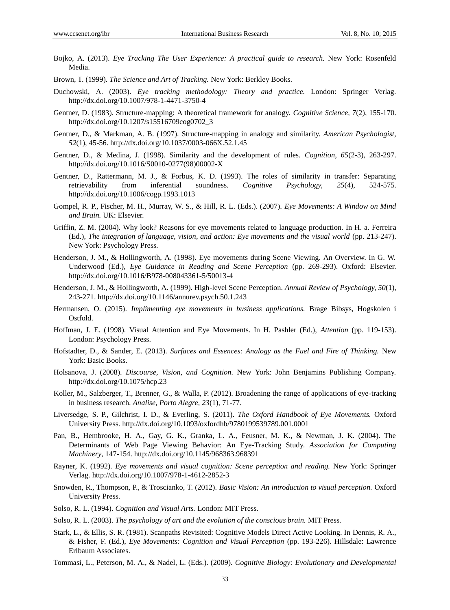- Bojko, A. (2013). *Eye Tracking The User Experience: A practical guide to research.* New York: Rosenfeld Media.
- Brown, T. (1999). *The Science and Art of Tracking.* New York: Berkley Books.
- Duchowski, A. (2003). *Eye tracking methodology: Theory and practice.* London: Springer Verlag. <http://dx.doi.org/10.1007/978-1-4471-3750-4>
- Gentner, D. (1983). Structure-mapping: A theoretical framework for analogy. *Cognitive Science, 7*(2), 155-170. http://dx.doi.org/10.1207/s15516709cog0702\_3
- Gentner, D., & Markman, A. B. (1997). Structure-mapping in analogy and similarity. *American Psychologist, 52*(1), 45-56. http://dx.doi.org/10.1037/0003-066X.52.1.45
- Gentner, D., & Medina, J. (1998). Similarity and the development of rules. *Cognition, 65*(2-3), 263-297. http://dx.doi.org/10.1016/S0010-0277(98)00002-X
- Gentner, D., Rattermann, M. J., & Forbus, K. D. (1993). The roles of similarity in transfer: Separating retrievability from inferential soundness. *Cognitive Psychology, 25*(4), 524-575. http://dx.doi.org/10.1006/cogp.1993.1013
- Gompel, R. P., Fischer, M. H., Murray, W. S., & Hill, R. L. (Eds.). (2007). *Eye Movements: A Window on Mind and Brain.* UK: Elsevier.
- Griffin, Z. M. (2004). Why look? Reasons for eye movements related to language production. In H. a. Ferreira (Ed.), *The integration of language, vision, and action: Eye movements and the visual world* (pp. 213-247). New York: Psychology Press.
- Henderson, J. M., & Hollingworth, A. (1998). Eye movements during Scene Viewing. An Overview. In G. W. Underwood (Ed.), *Eye Guidance in Reading and Scene Perception* (pp. 269-293). Oxford: Elsevier. http://dx.doi.org/10.1016/B978-008043361-5/50013-4
- Henderson, J. M., & Hollingworth, A. (1999). High-level Scene Perception. *Annual Review of Psychology, 50*(1), 243-271. http://dx.doi.org/10.1146/annurev.psych.50.1.243
- Hermansen, O. (2015). *Implimenting eye movements in business applications.* Brage Bibsys, Hogskolen i Ostfold.
- Hoffman, J. E. (1998). Visual Attention and Eye Movements. In H. Pashler (Ed.), *Attention* (pp. 119-153). London: Psychology Press.
- Hofstadter, D., & Sander, E. (2013). *Surfaces and Essences: Analogy as the Fuel and Fire of Thinking.* New York: Basic Books.
- Holsanova, J. (2008). *Discourse, Vision, and Cognition.* New York: John Benjamins Publishing Company. <http://dx.doi.org/10.1075/hcp.23>
- Koller, M., Salzberger, T., Brenner, G., & Walla, P. (2012). Broadening the range of applications of eye-tracking in business research. *Analise, Porto Alegre, 23*(1), 71-77.
- Liversedge, S. P., Gilchrist, I. D., & Everling, S. (2011). *The Oxford Handbook of Eye Movements.* Oxford University Press. <http://dx.doi.org/10.1093/oxfordhb/9780199539789.001.0001>
- Pan, B., Hembrooke, H. A., Gay, G. K., Granka, L. A., Feusner, M. K., & Newman, J. K. (2004). The Determinants of Web Page Viewing Behavior: An Eye-Tracking Study. *Association for Computing Machinery*, 147-154. http://dx.doi.org/10.1145/968363.968391
- Rayner, K. (1992). *Eye movements and visual cognition: Scene perception and reading.* New York: Springer Verlag. <http://dx.doi.org/10.1007/978-1-4612-2852-3>
- Snowden, R., Thompson, P., & Troscianko, T. (2012). *Basic Vision: An introduction to visual perception.* Oxford University Press.
- Solso, R. L. (1994). *Cognition and Visual Arts.* London: MIT Press.
- Solso, R. L. (2003). *The psychology of art and the evolution of the conscious brain.* MIT Press.
- Stark, L., & Ellis, S. R. (1981). Scanpaths Revisited: Cognitive Models Direct Active Looking. In Dennis, R. A., & Fisher, F. (Ed.), *Eye Movements: Cognition and Visual Perception* (pp. 193-226). Hillsdale: Lawrence Erlbaum Associates.
- Tommasi, L., Peterson, M. A., & Nadel, L. (Eds.). (2009). *Cognitive Biology: Evolutionary and Developmental*